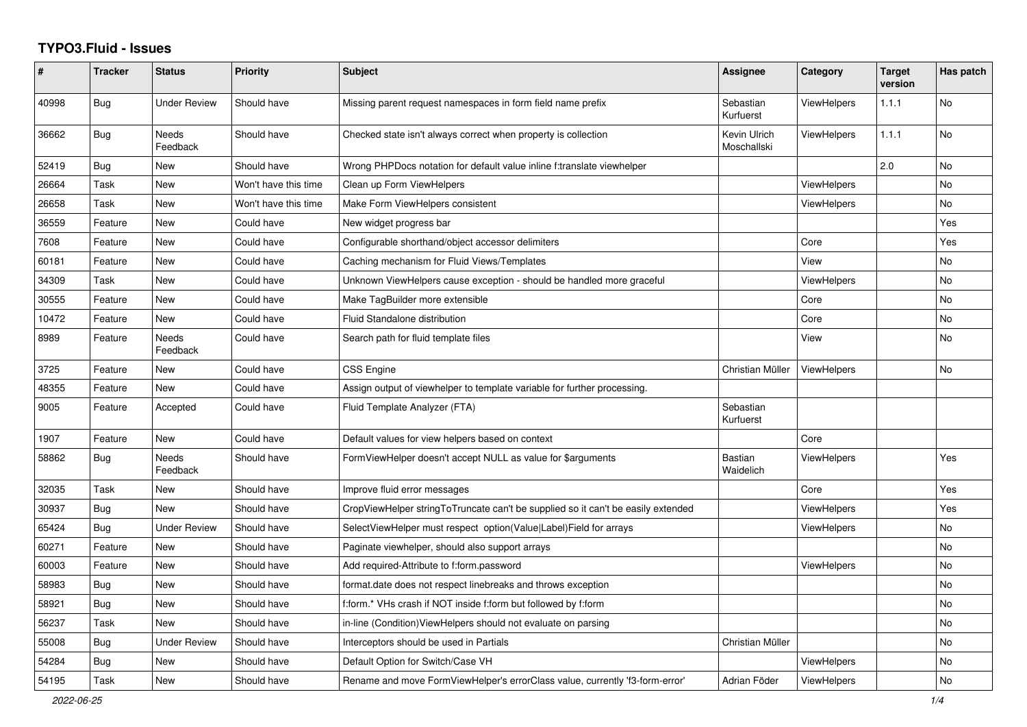## **TYPO3.Fluid - Issues**

| #     | <b>Tracker</b> | <b>Status</b>            | <b>Priority</b>      | Subject                                                                          | Assignee                    | Category           | <b>Target</b><br>version | Has patch      |
|-------|----------------|--------------------------|----------------------|----------------------------------------------------------------------------------|-----------------------------|--------------------|--------------------------|----------------|
| 40998 | Bug            | <b>Under Review</b>      | Should have          | Missing parent request namespaces in form field name prefix                      | Sebastian<br>Kurfuerst      | <b>ViewHelpers</b> | 1.1.1                    | <b>No</b>      |
| 36662 | Bug            | <b>Needs</b><br>Feedback | Should have          | Checked state isn't always correct when property is collection                   | Kevin Ulrich<br>Moschallski | <b>ViewHelpers</b> | 1.1.1                    | <b>No</b>      |
| 52419 | <b>Bug</b>     | New                      | Should have          | Wrong PHPDocs notation for default value inline f:translate viewhelper           |                             |                    | 2.0                      | N <sub>o</sub> |
| 26664 | Task           | <b>New</b>               | Won't have this time | Clean up Form ViewHelpers                                                        |                             | <b>ViewHelpers</b> |                          | No             |
| 26658 | Task           | <b>New</b>               | Won't have this time | Make Form ViewHelpers consistent                                                 |                             | ViewHelpers        |                          | No             |
| 36559 | Feature        | New                      | Could have           | New widget progress bar                                                          |                             |                    |                          | Yes            |
| 7608  | Feature        | New                      | Could have           | Configurable shorthand/object accessor delimiters                                |                             | Core               |                          | Yes            |
| 60181 | Feature        | New                      | Could have           | Caching mechanism for Fluid Views/Templates                                      |                             | View               |                          | No             |
| 34309 | Task           | <b>New</b>               | Could have           | Unknown ViewHelpers cause exception - should be handled more graceful            |                             | ViewHelpers        |                          | No             |
| 30555 | Feature        | New                      | Could have           | Make TagBuilder more extensible                                                  |                             | Core               |                          | <b>No</b>      |
| 10472 | Feature        | <b>New</b>               | Could have           | Fluid Standalone distribution                                                    |                             | Core               |                          | <b>No</b>      |
| 8989  | Feature        | <b>Needs</b><br>Feedback | Could have           | Search path for fluid template files                                             |                             | View               |                          | <b>No</b>      |
| 3725  | Feature        | New                      | Could have           | <b>CSS Engine</b>                                                                | Christian Müller            | ViewHelpers        |                          | <b>No</b>      |
| 48355 | Feature        | New                      | Could have           | Assign output of viewhelper to template variable for further processing.         |                             |                    |                          |                |
| 9005  | Feature        | Accepted                 | Could have           | Fluid Template Analyzer (FTA)                                                    | Sebastian<br>Kurfuerst      |                    |                          |                |
| 1907  | Feature        | New                      | Could have           | Default values for view helpers based on context                                 |                             | Core               |                          |                |
| 58862 | <b>Bug</b>     | Needs<br>Feedback        | Should have          | FormViewHelper doesn't accept NULL as value for \$arguments                      | <b>Bastian</b><br>Waidelich | <b>ViewHelpers</b> |                          | Yes            |
| 32035 | Task           | <b>New</b>               | Should have          | Improve fluid error messages                                                     |                             | Core               |                          | Yes            |
| 30937 | Bug            | <b>New</b>               | Should have          | CropViewHelper stringToTruncate can't be supplied so it can't be easily extended |                             | ViewHelpers        |                          | Yes            |
| 65424 | Bug            | <b>Under Review</b>      | Should have          | SelectViewHelper must respect option(Value Label)Field for arrays                |                             | <b>ViewHelpers</b> |                          | <b>No</b>      |
| 60271 | Feature        | <b>New</b>               | Should have          | Paginate viewhelper, should also support arrays                                  |                             |                    |                          | <b>No</b>      |
| 60003 | Feature        | <b>New</b>               | Should have          | Add required-Attribute to f:form.password                                        |                             | <b>ViewHelpers</b> |                          | <b>No</b>      |
| 58983 | <b>Bug</b>     | New                      | Should have          | format.date does not respect linebreaks and throws exception                     |                             |                    |                          | No             |
| 58921 | <b>Bug</b>     | New                      | Should have          | f:form.* VHs crash if NOT inside f:form but followed by f:form                   |                             |                    |                          | No             |
| 56237 | Task           | <b>New</b>               | Should have          | in-line (Condition) View Helpers should not evaluate on parsing                  |                             |                    |                          | No             |
| 55008 | Bug            | Under Review             | Should have          | Interceptors should be used in Partials                                          | Christian Müller            |                    |                          | <b>No</b>      |
| 54284 | <b>Bug</b>     | New                      | Should have          | Default Option for Switch/Case VH                                                |                             | <b>ViewHelpers</b> |                          | No             |
| 54195 | Task           | New                      | Should have          | Rename and move FormViewHelper's errorClass value, currently 'f3-form-error'     | Adrian Föder                | ViewHelpers        |                          | No             |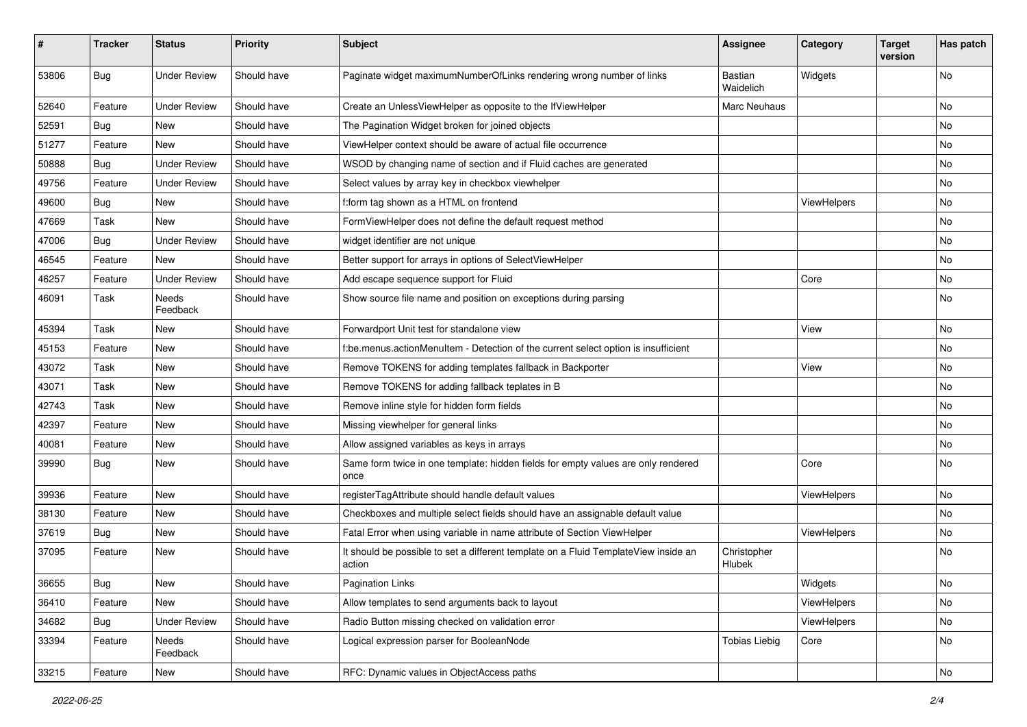| #     | <b>Tracker</b> | <b>Status</b>       | <b>Priority</b> | Subject                                                                                       | <b>Assignee</b>       | Category    | <b>Target</b><br>version | Has patch |
|-------|----------------|---------------------|-----------------|-----------------------------------------------------------------------------------------------|-----------------------|-------------|--------------------------|-----------|
| 53806 | Bug            | <b>Under Review</b> | Should have     | Paginate widget maximumNumberOfLinks rendering wrong number of links                          | Bastian<br>Waidelich  | Widgets     |                          | <b>No</b> |
| 52640 | Feature        | <b>Under Review</b> | Should have     | Create an UnlessViewHelper as opposite to the IfViewHelper                                    | Marc Neuhaus          |             |                          | No        |
| 52591 | Bug            | <b>New</b>          | Should have     | The Pagination Widget broken for joined objects                                               |                       |             |                          | No        |
| 51277 | Feature        | New                 | Should have     | ViewHelper context should be aware of actual file occurrence                                  |                       |             |                          | No        |
| 50888 | Bug            | <b>Under Review</b> | Should have     | WSOD by changing name of section and if Fluid caches are generated                            |                       |             |                          | <b>No</b> |
| 49756 | Feature        | <b>Under Review</b> | Should have     | Select values by array key in checkbox viewhelper                                             |                       |             |                          | No        |
| 49600 | Bug            | New                 | Should have     | f:form tag shown as a HTML on frontend                                                        |                       | ViewHelpers |                          | No        |
| 47669 | Task           | New                 | Should have     | FormViewHelper does not define the default request method                                     |                       |             |                          | No        |
| 47006 | Bug            | <b>Under Review</b> | Should have     | widget identifier are not unique                                                              |                       |             |                          | No        |
| 46545 | Feature        | <b>New</b>          | Should have     | Better support for arrays in options of SelectViewHelper                                      |                       |             |                          | <b>No</b> |
| 46257 | Feature        | <b>Under Review</b> | Should have     | Add escape sequence support for Fluid                                                         |                       | Core        |                          | No        |
| 46091 | Task           | Needs<br>Feedback   | Should have     | Show source file name and position on exceptions during parsing                               |                       |             |                          | No        |
| 45394 | Task           | New                 | Should have     | Forwardport Unit test for standalone view                                                     |                       | View        |                          | No        |
| 45153 | Feature        | New                 | Should have     | f:be.menus.actionMenuItem - Detection of the current select option is insufficient            |                       |             |                          | No        |
| 43072 | Task           | New                 | Should have     | Remove TOKENS for adding templates fallback in Backporter                                     |                       | View        |                          | <b>No</b> |
| 43071 | Task           | New                 | Should have     | Remove TOKENS for adding fallback teplates in B                                               |                       |             |                          | No        |
| 42743 | Task           | New                 | Should have     | Remove inline style for hidden form fields                                                    |                       |             |                          | <b>No</b> |
| 42397 | Feature        | New                 | Should have     | Missing viewhelper for general links                                                          |                       |             |                          | No        |
| 40081 | Feature        | New                 | Should have     | Allow assigned variables as keys in arrays                                                    |                       |             |                          | No        |
| 39990 | Bug            | New                 | Should have     | Same form twice in one template: hidden fields for empty values are only rendered<br>once     |                       | Core        |                          | No        |
| 39936 | Feature        | New                 | Should have     | registerTagAttribute should handle default values                                             |                       | ViewHelpers |                          | No        |
| 38130 | Feature        | New                 | Should have     | Checkboxes and multiple select fields should have an assignable default value                 |                       |             |                          | No        |
| 37619 | Bug            | New                 | Should have     | Fatal Error when using variable in name attribute of Section ViewHelper                       |                       | ViewHelpers |                          | No        |
| 37095 | Feature        | New                 | Should have     | It should be possible to set a different template on a Fluid TemplateView inside an<br>action | Christopher<br>Hlubek |             |                          | No        |
| 36655 | <b>Bug</b>     | New                 | Should have     | <b>Pagination Links</b>                                                                       |                       | Widgets     |                          | N0        |
| 36410 | Feature        | New                 | Should have     | Allow templates to send arguments back to layout                                              |                       | ViewHelpers |                          | No        |
| 34682 | Bug            | <b>Under Review</b> | Should have     | Radio Button missing checked on validation error                                              |                       | ViewHelpers |                          | No        |
| 33394 | Feature        | Needs<br>Feedback   | Should have     | Logical expression parser for BooleanNode                                                     | <b>Tobias Liebig</b>  | Core        |                          | No        |
| 33215 | Feature        | New                 | Should have     | RFC: Dynamic values in ObjectAccess paths                                                     |                       |             |                          | No        |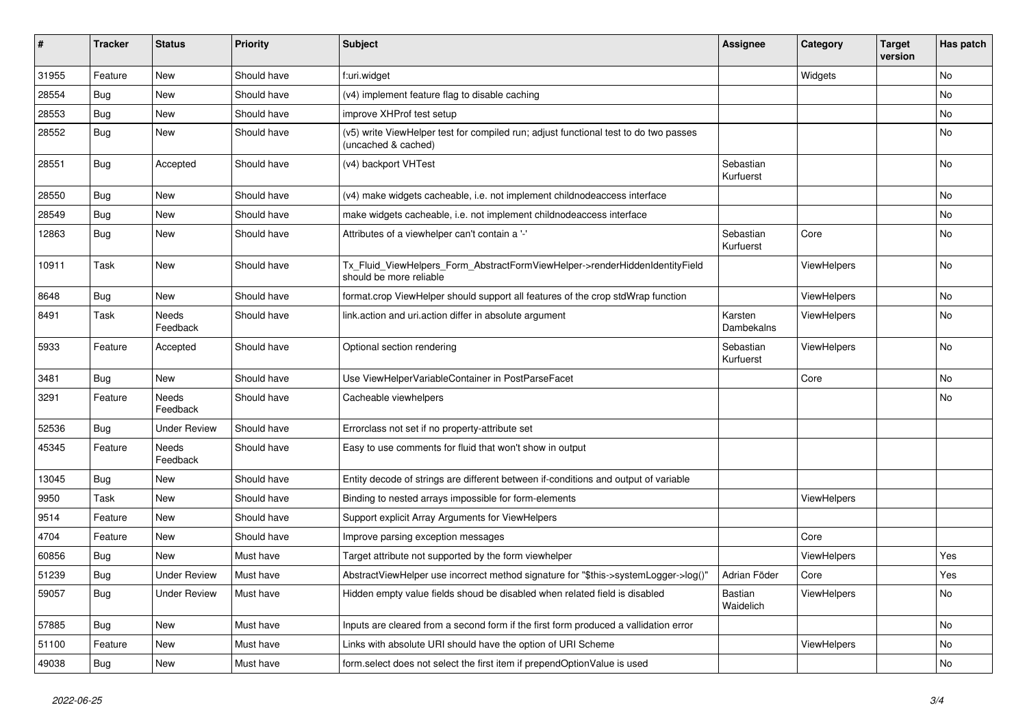| $\vert$ # | <b>Tracker</b> | <b>Status</b>       | <b>Priority</b> | <b>Subject</b>                                                                                              | <b>Assignee</b>             | Category           | <b>Target</b><br>version | Has patch |
|-----------|----------------|---------------------|-----------------|-------------------------------------------------------------------------------------------------------------|-----------------------------|--------------------|--------------------------|-----------|
| 31955     | Feature        | <b>New</b>          | Should have     | f:uri.widget                                                                                                |                             | Widgets            |                          | <b>No</b> |
| 28554     | Bug            | New                 | Should have     | (v4) implement feature flag to disable caching                                                              |                             |                    |                          | <b>No</b> |
| 28553     | Bug            | New                 | Should have     | improve XHProf test setup                                                                                   |                             |                    |                          | No        |
| 28552     | Bug            | New                 | Should have     | (v5) write ViewHelper test for compiled run; adjust functional test to do two passes<br>(uncached & cached) |                             |                    |                          | No        |
| 28551     | Bug            | Accepted            | Should have     | (v4) backport VHTest                                                                                        | Sebastian<br>Kurfuerst      |                    |                          | No        |
| 28550     | Bug            | New                 | Should have     | (v4) make widgets cacheable, i.e. not implement childnodeaccess interface                                   |                             |                    |                          | <b>No</b> |
| 28549     | Bug            | New                 | Should have     | make widgets cacheable, i.e. not implement childnodeaccess interface                                        |                             |                    |                          | No        |
| 12863     | Bug            | New                 | Should have     | Attributes of a viewhelper can't contain a '-'                                                              | Sebastian<br>Kurfuerst      | Core               |                          | <b>No</b> |
| 10911     | Task           | New                 | Should have     | Tx_Fluid_ViewHelpers_Form_AbstractFormViewHelper->renderHiddenIdentityField<br>should be more reliable      |                             | <b>ViewHelpers</b> |                          | <b>No</b> |
| 8648      | Bug            | New                 | Should have     | format.crop ViewHelper should support all features of the crop stdWrap function                             |                             | <b>ViewHelpers</b> |                          | No        |
| 8491      | Task           | Needs<br>Feedback   | Should have     | link.action and uri.action differ in absolute argument                                                      | Karsten<br>Dambekalns       | <b>ViewHelpers</b> |                          | No        |
| 5933      | Feature        | Accepted            | Should have     | Optional section rendering                                                                                  | Sebastian<br>Kurfuerst      | <b>ViewHelpers</b> |                          | No        |
| 3481      | <b>Bug</b>     | New                 | Should have     | Use ViewHelperVariableContainer in PostParseFacet                                                           |                             | Core               |                          | No        |
| 3291      | Feature        | Needs<br>Feedback   | Should have     | Cacheable viewhelpers                                                                                       |                             |                    |                          | No        |
| 52536     | Bug            | Under Review        | Should have     | Errorclass not set if no property-attribute set                                                             |                             |                    |                          |           |
| 45345     | Feature        | Needs<br>Feedback   | Should have     | Easy to use comments for fluid that won't show in output                                                    |                             |                    |                          |           |
| 13045     | <b>Bug</b>     | New                 | Should have     | Entity decode of strings are different between if-conditions and output of variable                         |                             |                    |                          |           |
| 9950      | Task           | New                 | Should have     | Binding to nested arrays impossible for form-elements                                                       |                             | <b>ViewHelpers</b> |                          |           |
| 9514      | Feature        | New                 | Should have     | Support explicit Array Arguments for ViewHelpers                                                            |                             |                    |                          |           |
| 4704      | Feature        | New                 | Should have     | Improve parsing exception messages                                                                          |                             | Core               |                          |           |
| 60856     | Bug            | New                 | Must have       | Target attribute not supported by the form viewhelper                                                       |                             | <b>ViewHelpers</b> |                          | Yes       |
| 51239     | Bug            | <b>Under Review</b> | Must have       | AbstractViewHelper use incorrect method signature for "\$this->systemLogger->log()"                         | Adrian Föder                | Core               |                          | Yes       |
| 59057     | Bug            | <b>Under Review</b> | Must have       | Hidden empty value fields shoud be disabled when related field is disabled                                  | <b>Bastian</b><br>Waidelich | <b>ViewHelpers</b> |                          | No        |
| 57885     | Bug            | New                 | Must have       | Inputs are cleared from a second form if the first form produced a vallidation error                        |                             |                    |                          | No        |
| 51100     | Feature        | New                 | Must have       | Links with absolute URI should have the option of URI Scheme                                                |                             | ViewHelpers        |                          | No        |
| 49038     | <b>Bug</b>     | New                 | Must have       | form select does not select the first item if prependOptionValue is used                                    |                             |                    |                          | No        |